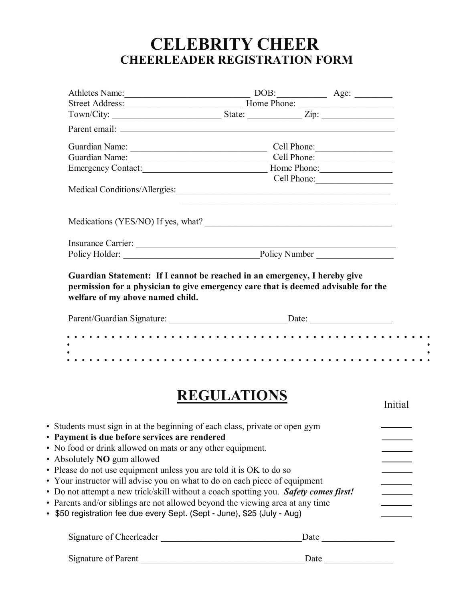## **CHEERLEADER REGISTRATION FORM CELEBRITY CHEER**

|                                                                                                                                                                                                                                                                                                                                                                                                                                                                                                                                                                                                                                                                 | Athletes Name: DOB: Age: Age:          |             |
|-----------------------------------------------------------------------------------------------------------------------------------------------------------------------------------------------------------------------------------------------------------------------------------------------------------------------------------------------------------------------------------------------------------------------------------------------------------------------------------------------------------------------------------------------------------------------------------------------------------------------------------------------------------------|----------------------------------------|-------------|
| Street Address: Home Phone:                                                                                                                                                                                                                                                                                                                                                                                                                                                                                                                                                                                                                                     |                                        |             |
|                                                                                                                                                                                                                                                                                                                                                                                                                                                                                                                                                                                                                                                                 |                                        |             |
|                                                                                                                                                                                                                                                                                                                                                                                                                                                                                                                                                                                                                                                                 |                                        |             |
|                                                                                                                                                                                                                                                                                                                                                                                                                                                                                                                                                                                                                                                                 | Guardian Name: Cell Phone:             |             |
|                                                                                                                                                                                                                                                                                                                                                                                                                                                                                                                                                                                                                                                                 | Guardian Name: Cell Phone: Cell Phone: |             |
|                                                                                                                                                                                                                                                                                                                                                                                                                                                                                                                                                                                                                                                                 |                                        |             |
|                                                                                                                                                                                                                                                                                                                                                                                                                                                                                                                                                                                                                                                                 |                                        | Cell Phone: |
| Medications (YES/NO) If yes, what?                                                                                                                                                                                                                                                                                                                                                                                                                                                                                                                                                                                                                              |                                        |             |
|                                                                                                                                                                                                                                                                                                                                                                                                                                                                                                                                                                                                                                                                 |                                        |             |
|                                                                                                                                                                                                                                                                                                                                                                                                                                                                                                                                                                                                                                                                 |                                        |             |
|                                                                                                                                                                                                                                                                                                                                                                                                                                                                                                                                                                                                                                                                 |                                        |             |
|                                                                                                                                                                                                                                                                                                                                                                                                                                                                                                                                                                                                                                                                 |                                        |             |
|                                                                                                                                                                                                                                                                                                                                                                                                                                                                                                                                                                                                                                                                 | <b>REGULATIONS</b>                     | Initial     |
|                                                                                                                                                                                                                                                                                                                                                                                                                                                                                                                                                                                                                                                                 |                                        |             |
|                                                                                                                                                                                                                                                                                                                                                                                                                                                                                                                                                                                                                                                                 |                                        |             |
|                                                                                                                                                                                                                                                                                                                                                                                                                                                                                                                                                                                                                                                                 |                                        |             |
|                                                                                                                                                                                                                                                                                                                                                                                                                                                                                                                                                                                                                                                                 |                                        |             |
|                                                                                                                                                                                                                                                                                                                                                                                                                                                                                                                                                                                                                                                                 |                                        |             |
| · Students must sign in at the beginning of each class, private or open gym<br>• Payment is due before services are rendered<br>• No food or drink allowed on mats or any other equipment.<br>• Absolutely NO gum allowed<br>• Please do not use equipment unless you are told it is OK to do so<br>• Your instructor will advise you on what to do on each piece of equipment<br>• Do not attempt a new trick/skill without a coach spotting you. Safety comes first!<br>• Parents and/or siblings are not allowed beyond the viewing area at any time<br>• \$50 registration fee due every Sept. (Sept - June), \$25 (July - Aug)<br>Signature of Cheerleader |                                        |             |